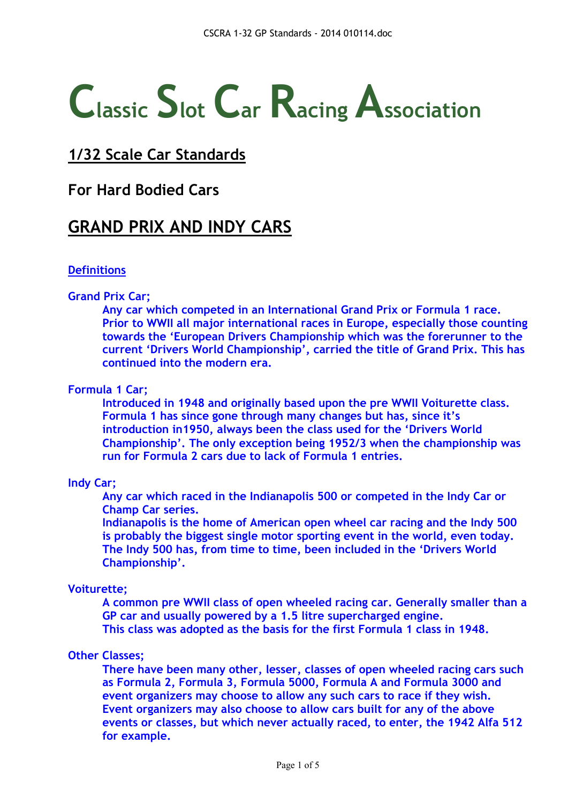# **Classic Slot Car Racing Association**

# **1/32 Scale Car Standards**

### **For Hard Bodied Cars**

# **GRAND PRIX AND INDY CARS**

#### **Definitions**

#### **Grand Prix Car;**

**Any car which competed in an International Grand Prix or Formula 1 race. Prior to WWII all major international races in Europe, especially those counting towards the 'European Drivers Championship which was the forerunner to the current 'Drivers World Championship', carried the title of Grand Prix. This has continued into the modern era.**

#### **Formula 1 Car;**

**Introduced in 1948 and originally based upon the pre WWII Voiturette class. Formula 1 has since gone through many changes but has, since it's introduction in1950, always been the class used for the 'Drivers World Championship'. The only exception being 1952/3 when the championship was run for Formula 2 cars due to lack of Formula 1 entries.**

#### **Indy Car;**

**Any car which raced in the Indianapolis 500 or competed in the Indy Car or Champ Car series.**

**Indianapolis is the home of American open wheel car racing and the Indy 500 is probably the biggest single motor sporting event in the world, even today. The Indy 500 has, from time to time, been included in the 'Drivers World Championship'.**

#### **Voiturette;**

**A common pre WWII class of open wheeled racing car. Generally smaller than a GP car and usually powered by a 1.5 litre supercharged engine. This class was adopted as the basis for the first Formula 1 class in 1948.**

#### **Other Classes;**

**There have been many other, lesser, classes of open wheeled racing cars such as Formula 2, Formula 3, Formula 5000, Formula A and Formula 3000 and event organizers may choose to allow any such cars to race if they wish. Event organizers may also choose to allow cars built for any of the above events or classes, but which never actually raced, to enter, the 1942 Alfa 512 for example.**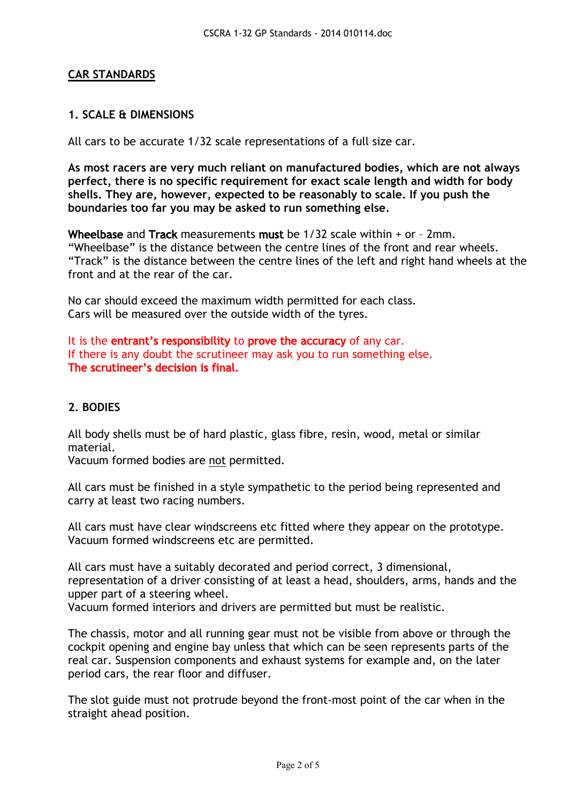#### **CAR STANDARDS**

#### **1. SCALE & DIMENSIONS**

All cars to be accurate 1/32 scale representations of a full size car.

**As most racers are very much reliant on manufactured bodies, which are not always perfect, there is no specific requirement for exact scale length and width for body shells. They are, however, expected to be reasonably to scale. If you push the boundaries too far you may be asked to run something else.**

Wheelbase and Track measurements must be 1/32 scale within + or – 2mm. "Wheelbase" is the distance between the centre lines of the front and rear wheels. "Track" is the distance between the centre lines of the left and right hand wheels at the front and at the rear of the car.

No car should exceed the maximum width permitted for each class. Cars will be measured over the outside width of the tyres.

It is the entrant's responsibility to prove the accuracy of any car. If there is any doubt the scrutineer may ask you to run something else. The scrutineer's decision is final.

#### **2. BODIES**

All body shells must be of hard plastic, glass fibre, resin, wood, metal or similar material.

Vacuum formed bodies are not permitted.

All cars must be finished in a style sympathetic to the period being represented and carry at least two racing numbers.

All cars must have clear windscreens etc fitted where they appear on the prototype. Vacuum formed windscreens etc are permitted.

All cars must have a suitably decorated and period correct, 3 dimensional, representation of a driver consisting of at least a head, shoulders, arms, hands and the upper part of a steering wheel.

Vacuum formed interiors and drivers are permitted but must be realistic.

The chassis, motor and all running gear must not be visible from above or through the cockpit opening and engine bay unless that which can be seen represents parts of the real car. Suspension components and exhaust systems for example and, on the later period cars, the rear floor and diffuser.

The slot guide must not protrude beyond the front-most point of the car when in the straight ahead position.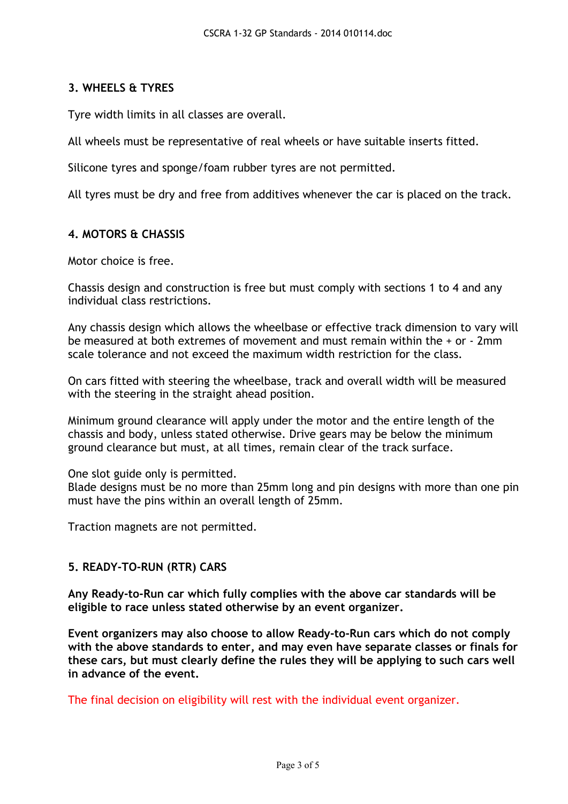#### **3. WHEELS & TYRES**

Tyre width limits in all classes are overall.

All wheels must be representative of real wheels or have suitable inserts fitted.

Silicone tyres and sponge/foam rubber tyres are not permitted.

All tyres must be dry and free from additives whenever the car is placed on the track.

#### **4. MOTORS & CHASSIS**

Motor choice is free.

Chassis design and construction is free but must comply with sections 1 to 4 and any individual class restrictions.

Any chassis design which allows the wheelbase or effective track dimension to vary will be measured at both extremes of movement and must remain within the + or - 2mm scale tolerance and not exceed the maximum width restriction for the class.

On cars fitted with steering the wheelbase, track and overall width will be measured with the steering in the straight ahead position.

Minimum ground clearance will apply under the motor and the entire length of the chassis and body, unless stated otherwise. Drive gears may be below the minimum ground clearance but must, at all times, remain clear of the track surface.

One slot guide only is permitted.

Blade designs must be no more than 25mm long and pin designs with more than one pin must have the pins within an overall length of 25mm.

Traction magnets are not permitted.

#### **5. READY-TO-RUN (RTR) CARS**

**Any Ready-to-Run car which fully complies with the above car standards will be eligible to race unless stated otherwise by an event organizer.**

**Event organizers may also choose to allow Ready-to-Run cars which do not comply with the above standards to enter, and may even have separate classes or finals for these cars, but must clearly define the rules they will be applying to such cars well in advance of the event.**

The final decision on eligibility will rest with the individual event organizer.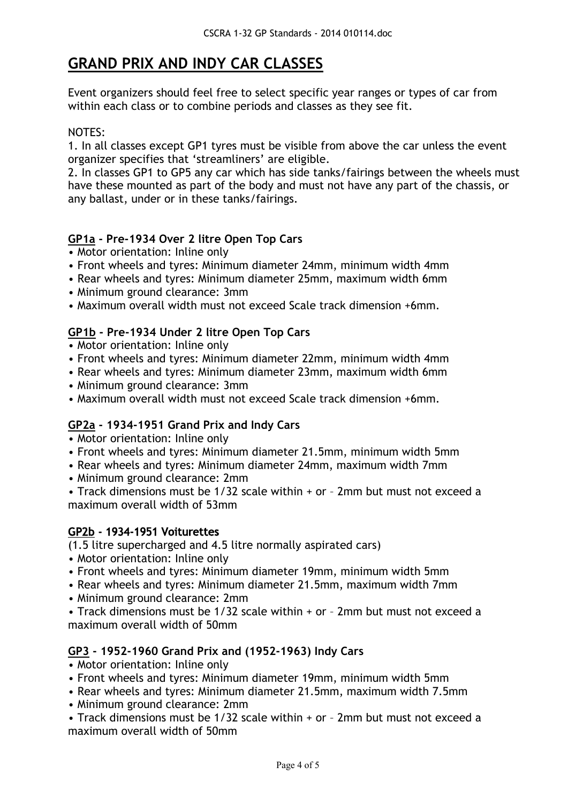# **GRAND PRIX AND INDY CAR CLASSES**

Event organizers should feel free to select specific year ranges or types of car from within each class or to combine periods and classes as they see fit.

#### NOTES:

1. In all classes except GP1 tyres must be visible from above the car unless the event organizer specifies that 'streamliners' are eligible.

2. In classes GP1 to GP5 any car which has side tanks/fairings between the wheels must have these mounted as part of the body and must not have any part of the chassis, or any ballast, under or in these tanks/fairings.

#### **GP1a - Pre-1934 Over 2 litre Open Top Cars**

- Motor orientation: Inline only
- Front wheels and tyres: Minimum diameter 24mm, minimum width 4mm
- Rear wheels and tyres: Minimum diameter 25mm, maximum width 6mm
- Minimum ground clearance: 3mm
- Maximum overall width must not exceed Scale track dimension +6mm.

#### **GP1b - Pre-1934 Under 2 litre Open Top Cars**

- Motor orientation: Inline only
- Front wheels and tyres: Minimum diameter 22mm, minimum width 4mm
- Rear wheels and tyres: Minimum diameter 23mm, maximum width 6mm
- Minimum ground clearance: 3mm
- Maximum overall width must not exceed Scale track dimension +6mm.

#### **GP2a - 1934-1951 Grand Prix and Indy Cars**

- Motor orientation: Inline only
- Front wheels and tyres: Minimum diameter 21.5mm, minimum width 5mm
- Rear wheels and tyres: Minimum diameter 24mm, maximum width 7mm
- Minimum ground clearance: 2mm

• Track dimensions must be 1/32 scale within + or – 2mm but must not exceed a maximum overall width of 53mm

#### GP2b - 1934-1951 Voiturettes

(1.5 litre supercharged and 4.5 litre normally aspirated cars)

- Motor orientation: Inline only
- Front wheels and tyres: Minimum diameter 19mm, minimum width 5mm
- Rear wheels and tyres: Minimum diameter 21.5mm, maximum width 7mm
- Minimum ground clearance: 2mm

• Track dimensions must be 1/32 scale within + or – 2mm but must not exceed a maximum overall width of 50mm

#### **GP3 - 1952-1960 Grand Prix and (1952-1963) Indy Cars**

- Motor orientation: Inline only
- Front wheels and tyres: Minimum diameter 19mm, minimum width 5mm
- Rear wheels and tyres: Minimum diameter 21.5mm, maximum width 7.5mm
- Minimum ground clearance: 2mm

• Track dimensions must be 1/32 scale within + or – 2mm but must not exceed a maximum overall width of 50mm